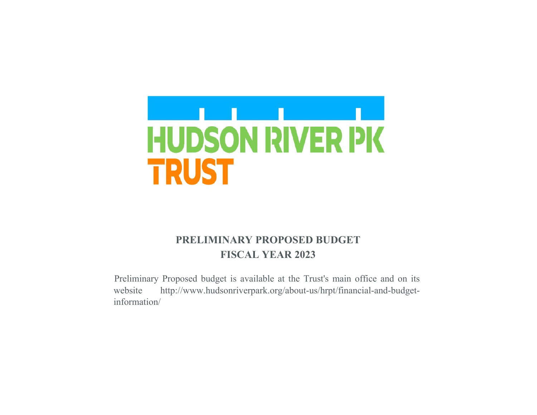

# **PRELIMINARY PROPOSED BUDGET FISCAL YEAR 2023**

Preliminary Proposed budget is available at the Trust's main office and on its website http://www.hudsonriverpark.org/about-us/hrpt/financial-and-budgetinformation/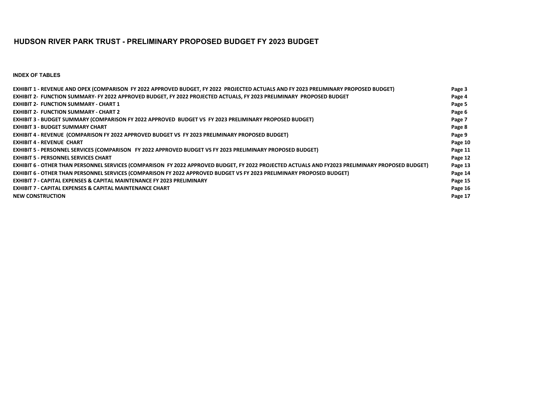### **HUDSON RIVER PARK TRUST - PRELIMINARY PROPOSED BUDGET FY 2023 BUDGET**

**INDEX OF TABLES**

| EXHIBIT 1 - REVENUE AND OPEX (COMPARISON FY 2022 APPROVED BUDGET, FY 2022 PROJECTED ACTUALS AND FY 2023 PRELIMINARY PROPOSED BUDGET)             | Page 3  |
|--------------------------------------------------------------------------------------------------------------------------------------------------|---------|
| EXHIBIT 2- FUNCTION SUMMARY- FY 2022 APPROVED BUDGET, FY 2022 PROJECTED ACTUALS, FY 2023 PRELIMINARY PROPOSED BUDGET                             | Page 4  |
| <b>EXHIBIT 2- FUNCTION SUMMARY - CHART 1</b>                                                                                                     | Page 5  |
| <b>EXHIBIT 2- FUNCTION SUMMARY - CHART 2</b>                                                                                                     | Page 6  |
| EXHIBIT 3 - BUDGET SUMMARY (COMPARISON FY 2022 APPROVED BUDGET VS FY 2023 PRELIMINARY PROPOSED BUDGET)                                           | Page 7  |
| <b>EXHIBIT 3 - BUDGET SUMMARY CHART</b>                                                                                                          | Page 8  |
| EXHIBIT 4 - REVENUE (COMPARISON FY 2022 APPROVED BUDGET VS FY 2023 PRELIMINARY PROPOSED BUDGET)                                                  | Page 9  |
| <b>EXHIBIT 4 - REVENUE CHART</b>                                                                                                                 | Page 10 |
| EXHIBIT 5 - PERSONNEL SERVICES (COMPARISON FY 2022 APPROVED BUDGET VS FY 2023 PRELIMINARY PROPOSED BUDGET)                                       | Page 11 |
| <b>EXHIBIT 5 - PERSONNEL SERVICES CHART</b>                                                                                                      | Page 12 |
| EXHIBIT 6 - OTHER THAN PERSONNEL SERVICES (COMPARISON FY 2022 APPROVED BUDGET, FY 2022 PROJECTED ACTUALS AND FY2023 PRELIMINARY PROPOSED BUDGET) | Page 13 |
| EXHIBIT 6 - OTHER THAN PERSONNEL SERVICES (COMPARISON FY 2022 APPROVED BUDGET VS FY 2023 PRELIMINARY PROPOSED BUDGET)                            | Page 14 |
| <b>EXHIBIT 7 - CAPITAL EXPENSES &amp; CAPITAL MAINTENANCE FY 2023 PRELIMINARY</b>                                                                | Page 15 |
| <b>EXHIBIT 7 - CAPITAL EXPENSES &amp; CAPITAL MAINTENANCE CHART</b>                                                                              | Page 16 |
| <b>NEW CONSTRUCTION</b>                                                                                                                          | Page 17 |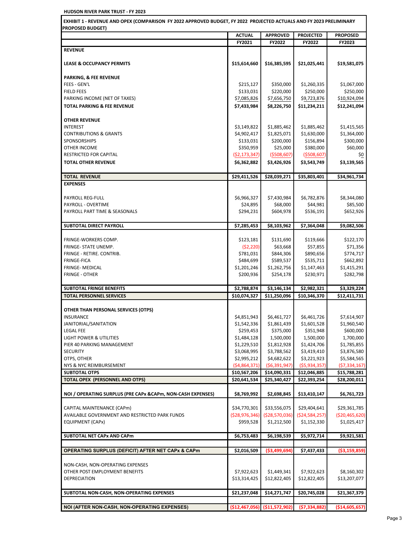**ACTUAL APPROVED PROJECTED PROPOSED FY2021 FY2022 FY2022 FY2023 EXHIBIT 1 - REVENUE AND OPEX (COMPARISON FY 2022 APPROVED BUDGET, FY 2022 PROJECTED ACTUALS AND FY 2023 PRELIMINARY PROPOSED BUDGET)** 

|                                                              | FI 404.         | FI LULL         |                 |                 |
|--------------------------------------------------------------|-----------------|-----------------|-----------------|-----------------|
| <b>REVENUE</b>                                               |                 |                 |                 |                 |
|                                                              |                 |                 |                 |                 |
| <b>LEASE &amp; OCCUPANCY PERMITS</b>                         | \$15,614,660    | \$16,385,595    | \$21,025,441    | \$19,581,075    |
|                                                              |                 |                 |                 |                 |
| PARKING, & FEE REVENUE                                       |                 |                 |                 |                 |
| <b>FEES - GEN'L</b>                                          | \$215,127       | \$350,000       | \$1,260,335     | \$1,067,000     |
| <b>FIELD FEES</b>                                            | \$133,031       | \$220,000       | \$250,000       | \$250,000       |
| PARKING INCOME (NET OF TAXES)                                | \$7,085,826     | \$7,656,750     | \$9,723,876     | \$10,924,094    |
| <b>TOTAL PARKING &amp; FEE REVENUE</b>                       | \$7,433,984     | \$8,226,750     | \$11,234,211    | \$12,241,094    |
|                                                              |                 |                 |                 |                 |
| <b>OTHER REVENUE</b>                                         |                 |                 |                 |                 |
| <b>INTEREST</b>                                              | \$3,149,822     | \$1,885,462     | \$1,885,462     | \$1,415,565     |
| <b>CONTRIBUTIONS &amp; GRANTS</b>                            | \$4,902,417     | \$1,825,071     | \$1,630,000     | \$1,364,000     |
| <b>SPONSORSHIPS</b>                                          | \$133,031       | \$200,000       | \$156,894       | \$300,000       |
| OTHER INCOME                                                 | \$350,959       | \$25,000        | \$380,000       | \$60,000        |
| <b>RESTRICTED FOR CAPITAL</b>                                | (52, 173, 347)  | ( \$508,607)    | ( \$508, 607)   | \$0             |
| <b>TOTAL OTHER REVENUE</b>                                   | \$6,362,882     | \$3,426,926     | \$3,543,749     | \$3,139,565     |
|                                                              |                 |                 |                 |                 |
| <b>TOTAL REVENUE</b>                                         | \$29,411,526    | \$28,039,271    | \$35,803,401    | \$34,961,734    |
| <b>EXPENSES</b>                                              |                 |                 |                 |                 |
|                                                              |                 |                 |                 |                 |
| PAYROLL REG-FULL                                             | \$6,966,327     | \$7,430,984     | \$6,782,876     | \$8,344,080     |
| PAYROLL - OVERTIME                                           | \$24,895        | \$68,000        | \$44,981        | \$85,500        |
| PAYROLL PART TIME & SEASONALS                                | \$294,231       | \$604,978       | \$536,191       | \$652,926       |
|                                                              |                 |                 |                 |                 |
| SUBTOTAL DIRECT PAYROLL                                      | \$7,285,453     | \$8,103,962     | \$7,364,048     | \$9,082,506     |
|                                                              |                 |                 |                 |                 |
| FRINGE-WORKERS COMP.                                         | \$123,181       | \$131,690       | \$119,666       | \$122,170       |
| FRINGE- STATE UNEMP.                                         | (52, 220)       | \$63,668        | \$57,855        | \$71,356        |
| FRINGE - RETIRE. CONTRIB.                                    | \$781,031       | \$844,306       | \$890,656       | \$774,717       |
| <b>FRINGE-FICA</b>                                           | \$484,699       | \$589,537       | \$535,711       | \$662,892       |
| <b>FRINGE- MEDICAL</b>                                       | \$1,201,246     | \$1,262,756     | \$1,147,463     | \$1,415,291     |
| <b>FRINGE - OTHER</b>                                        | \$200,936       | \$254,178       | \$230,971       | \$282,798       |
|                                                              |                 |                 |                 |                 |
|                                                              |                 |                 |                 |                 |
| <b>SUBTOTAL FRINGE BENEFITS</b>                              |                 |                 |                 |                 |
|                                                              | \$2,788,874     | \$3,146,134     | \$2,982,321     | \$3,329,224     |
| <b>TOTAL PERSONNEL SERVICES</b>                              | \$10,074,327    | \$11,250,096    | \$10,346,370    | \$12,411,731    |
|                                                              |                 |                 |                 |                 |
| OTHER THAN PERSONAL SERVICES (OTPS)                          |                 |                 |                 |                 |
| <b>INSURANCE</b>                                             | \$4,851,943     | \$6,461,727     | \$6,461,726     | \$7,614,907     |
| JANITORIAL/SANITATION                                        | \$1,542,336     | \$1,861,439     | \$1,601,528     | \$1,960,540     |
| <b>LEGAL FEE</b>                                             | \$259,453       | \$375,000       | \$351,948       | \$600,000       |
| <b>LIGHT POWER &amp; UTILITIES</b>                           | \$1,484,128     | 1,500,000       | 1,500,000       | 1,700,000       |
| PIER 40 PARKING MANAGEMENT                                   | \$1,229,510     | \$1,812,928     | \$1,424,706     | \$1,785,855     |
| <b>SECURITY</b>                                              | \$3,068,995     | \$3,788,562     | \$3,419,410     | \$3,876,580     |
| OTPS, OTHER                                                  | \$2,995,212     | \$4,682,622     | \$3,221,923     | \$5,584,565     |
| NYS & NYC REIMBURSEMENT                                      | ( \$4,864,371)  | ( \$6,391,947)  | ( \$5,934,357)  |                 |
| <b>SUBTOTAL OTPS</b>                                         | \$10,567,206    | \$14,090,331    | \$12,046,885    | \$15,788,281    |
| TOTAL OPEX (PERSONNEL AND OTPS)                              | \$20,641,534    | \$25,340,427    | \$22,393,254    | \$28,200,011    |
|                                                              |                 |                 |                 |                 |
| NOI / OPERATING SURPLUS (PRE CAPx & CAPm, NON-CASH EXPENSES) | \$8,769,992     | \$2,698,845     | \$13,410,147    | \$6,761,723     |
|                                                              |                 |                 |                 | (57, 334, 167)  |
| CAPITAL MAINTENANCE (CAPm)                                   | \$34,770,301    | \$33,556,075    | \$29,404,641    | \$29,361,785    |
| AVAILABLE GOVERNMENT AND RESTRICTED PARK FUNDS               | ( \$28,976,346) | ( \$28,570,036) | ( \$24,584,257) | ( \$20,465,620) |
| EQUIPMENT (CAPx)                                             | \$959,528       | \$1,212,500     | \$1,152,330     | \$1,025,417     |
|                                                              |                 |                 |                 |                 |
| SUBTOTAL NET CAPx AND CAPm                                   | \$6,753,483     | \$6,198,539     | \$5,972,714     | \$9,921,581     |
|                                                              |                 |                 |                 |                 |
| <b>OPERATING SURPLUS (DEFICIT) AFTER NET CAPX &amp; CAPM</b> | \$2,016,509     | ( \$3,499,694)  | \$7,437,433     | ( \$3,159,859)  |
|                                                              |                 |                 |                 |                 |
| NON-CASH, NON-OPERATING EXPENSES                             |                 |                 |                 |                 |
| OTHER POST EMPLOYMENT BENEFITS                               | \$7,922,623     | \$1,449,341     | \$7,922,623     | \$8,160,302     |
| <b>DEPRECIATION</b>                                          | \$13,314,425    | \$12,822,405    | \$12,822,405    | \$13,207,077    |
|                                                              |                 |                 |                 |                 |
| SUBTOTAL NON-CASH, NON-OPERATING EXPENSES                    | \$21,237,048    | \$14,271,747    | \$20,745,028    | \$21,367,379    |
| NOI (AFTER NON-CASH, NON-OPERATING EXPENSES)                 | (\$12,467,056)  | (\$11,572,902)  | (57, 334, 882)  | ( \$14,605,657) |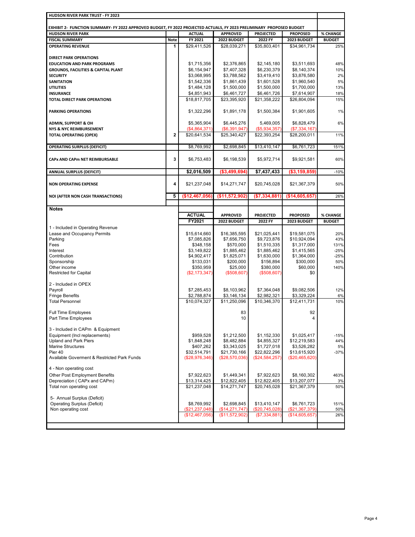| HUDSON RIVER PARK TRUST - FY 2023                                                                                    |              |                             |                             |                             |                 |                                                                                     |
|----------------------------------------------------------------------------------------------------------------------|--------------|-----------------------------|-----------------------------|-----------------------------|-----------------|-------------------------------------------------------------------------------------|
| EXHIBIT 2- FUNCTION SUMMARY- FY 2022 APPROVED BUDGET, FY 2022 PROJECTED ACTUALS, FY 2023 PRELIMINARY PROPOSED BUDGET |              |                             |                             |                             |                 |                                                                                     |
| <b>HUDSON RIVER PARK</b>                                                                                             |              | <b>ACTUAL</b>               | <b>APPROVED</b>             | <b>PROJECTED</b>            | <b>PROPOSED</b> | % CHANGE                                                                            |
| <b>FISCAL SUMMARY</b>                                                                                                | <b>Note</b>  | FY 2021                     | 2022 BUDGET                 | 2022 FY                     | 2023 BUDGET     | <b>BUDGET</b>                                                                       |
| <b>OPERATING REVENUE</b>                                                                                             | 1            | \$29,411,526                | \$28.039.271                | \$35,803,401                | \$34,961,734    | 25%                                                                                 |
|                                                                                                                      |              |                             |                             |                             |                 |                                                                                     |
| <b>DIRECT PARK OPERATIONS</b>                                                                                        |              |                             |                             |                             |                 |                                                                                     |
| <b>EDUCATION AND PARK PROGRAMS</b>                                                                                   |              | \$1,715,356                 | \$2,376,865                 | \$2,145,180                 | \$3,511,693     | 48%                                                                                 |
| <b>GROUNDS, FACILITIES &amp; CAPITAL PLANT</b>                                                                       |              | \$6,154,947                 | \$7,407,328                 | \$6,230,379                 | \$8,140,374     | 10%                                                                                 |
| <b>SECURITY</b>                                                                                                      |              | \$3,068,995                 | \$3,788,562                 | \$3,419,410                 | \$3,876,580     | 2%                                                                                  |
| <b>SANITATION</b>                                                                                                    |              | \$1,542,336                 | \$1,861,439                 | \$1,601,528                 | \$1,960,540     | 5%                                                                                  |
| <b>UTILITIES</b>                                                                                                     |              | \$1,484,128                 | \$1,500,000                 | \$1,500,000                 | \$1,700,000     | 13%                                                                                 |
| <b>INSURANCE</b>                                                                                                     |              | \$4,851,943                 | \$6,461,727                 | \$6,461,726                 | \$7,614,907     | 18%                                                                                 |
| <b>TOTAL DIRECT PARK OPERATIONS</b>                                                                                  |              | \$18,817,705                | \$23,395,920                | \$21,358,222                | \$26,804,094    | 15%                                                                                 |
|                                                                                                                      |              |                             |                             |                             |                 |                                                                                     |
| <b>PARKING OPERATIONS</b>                                                                                            |              | \$1,322,296                 | \$1,891,178                 | \$1,500,384                 | \$1,901,605     | 1%                                                                                  |
|                                                                                                                      |              |                             |                             |                             |                 |                                                                                     |
| <b>ADMIN, SUPPORT &amp; OH</b>                                                                                       |              | \$5,365,904                 | \$6,445,276                 | 5,469,005                   | \$6,828,479     | 6%                                                                                  |
| NYS & NYC REIMBURSEMENT                                                                                              |              | (\$4,864,371)               | (\$6,391,947)               | (\$5,934,357)               | (\$7,334,167)   |                                                                                     |
| <b>TOTAL OPERATING (OPEX)</b>                                                                                        | $\mathbf{2}$ | \$20,641,534                | \$25,340,427                | \$22,393,254                | \$28,200,011    | 11%                                                                                 |
|                                                                                                                      |              |                             |                             |                             |                 |                                                                                     |
| <b>OPERATING SURPLUS (DEFICIT)</b>                                                                                   |              | \$8,769,992                 | \$2,698,845                 | \$13,410,147                | \$6,761,723     | 151%                                                                                |
| CAPx AND CAPm NET REIMBURSABLE                                                                                       | 3            | \$6,753,483                 | \$6,198,539                 | \$5,972,714                 | \$9,921,581     | 60%                                                                                 |
|                                                                                                                      |              |                             |                             |                             |                 |                                                                                     |
| <b>ANNUAL SURPLUS (DEFICIT)</b>                                                                                      |              | \$2,016,509                 | ( \$3,499,694)              | \$7,437,433                 | ( \$3,159,859)  | $-10%$                                                                              |
|                                                                                                                      |              |                             |                             |                             |                 |                                                                                     |
| <b>NON OPERATING EXPENSE</b>                                                                                         | 4            | \$21,237,048                | \$14,271,747                | \$20,745,028                | \$21,367,379    | 50%                                                                                 |
|                                                                                                                      |              |                             |                             |                             |                 |                                                                                     |
| NOI (AFTER NON CASH TRANSACTIONS)                                                                                    | 5            | (\$12,467,056)              | (\$11,572,902)              | (\$7,334,881)               | (\$14,605,657)  | 26%                                                                                 |
|                                                                                                                      |              |                             |                             |                             |                 |                                                                                     |
| <b>Notes</b>                                                                                                         |              |                             |                             |                             |                 |                                                                                     |
|                                                                                                                      |              | <b>ACTUAL</b>               | <b>APPROVED</b>             | <b>PROJECTED</b>            | <b>PROPOSED</b> | <b>% CHANGE</b>                                                                     |
|                                                                                                                      |              |                             |                             |                             |                 |                                                                                     |
|                                                                                                                      |              |                             |                             |                             |                 |                                                                                     |
| 1 - Included in Operating Revenue                                                                                    |              | FY2021                      | 2022 BUDGET                 | 2022 FY                     | 2023 BUDGET     | <b>BUDGET</b>                                                                       |
|                                                                                                                      |              |                             |                             |                             | \$19,581,075    |                                                                                     |
| Lease and Occupancy Permits<br>Parking                                                                               |              | \$15,614,660<br>\$7,085,826 | \$16,385,595<br>\$7,656,750 | \$21,025,441<br>\$9,723,876 | \$10,924,094    |                                                                                     |
| Fees                                                                                                                 |              | \$348,158                   | \$570,000                   | \$1,510,335                 | \$1,317,000     |                                                                                     |
| Interest                                                                                                             |              | \$3,149,822                 | \$1,885,462                 | \$1,885,462                 | \$1,415,565     |                                                                                     |
| Contribution                                                                                                         |              | \$4,902,417                 | \$1,825,071                 | \$1,630,000                 | \$1,364,000     |                                                                                     |
| Sponsorship                                                                                                          |              | \$133,031                   | \$200,000                   | \$156,894                   | \$300,000       |                                                                                     |
| Other income                                                                                                         |              | \$350,959                   | \$25,000                    | \$380,000                   | \$60,000        |                                                                                     |
| <b>Restricted for Capital</b>                                                                                        |              | (\$2,173,347)               | (\$508,607)                 | (\$508,607)                 | \$0             |                                                                                     |
|                                                                                                                      |              |                             |                             |                             |                 |                                                                                     |
| 2 - Included in OPEX                                                                                                 |              |                             |                             |                             |                 |                                                                                     |
| Payroll                                                                                                              |              | \$7,285,453                 | \$8,103,962                 | \$7.364.048                 | \$9,082,506     |                                                                                     |
| <b>Fringe Benefits</b>                                                                                               |              | \$2,788,874                 | \$3,146,134                 | \$2,982,321                 | \$3,329,224     |                                                                                     |
| <b>Total Personnel</b>                                                                                               |              | \$10,074,327                | \$11,250,096                | \$10,346,370                | \$12,411,731    |                                                                                     |
|                                                                                                                      |              |                             | 83                          |                             | 92              |                                                                                     |
| Full Time Employees<br>Part Time Employees                                                                           |              |                             | 10                          |                             | 4               |                                                                                     |
|                                                                                                                      |              |                             |                             |                             |                 |                                                                                     |
| 3 - Included in CAPm & Equipment                                                                                     |              |                             |                             |                             |                 |                                                                                     |
| Equipment (Incl replacements)                                                                                        |              | \$959,528                   | \$1,212,500                 | \$1,152,330                 | \$1,025,417     | 20%<br>43%<br>131%<br>$-25%$<br>$-25%$<br>50%<br>140%<br>12%<br>6%<br>10%<br>$-15%$ |
| <b>Upland and Park Piers</b>                                                                                         |              | \$1,848,248                 | \$8,482,884                 | \$4,855,327                 | \$12,219,583    |                                                                                     |
| <b>Marine Structures</b>                                                                                             |              | \$407,262                   | \$3,343,025                 | \$1,727,018                 | \$3,526,282     |                                                                                     |
| Pier 40                                                                                                              |              | \$32,514,791                | \$21,730,166                | \$22,822,296                | \$13,615,920    | 44%<br>5%<br>$-37%$                                                                 |
| Available Goverment & Restricted Park Funds                                                                          |              | (\$28,976,346)              | (\$28,570,036)              | (\$24,584,257)              | (\$20,465,620)  |                                                                                     |
|                                                                                                                      |              |                             |                             |                             |                 |                                                                                     |
| 4 - Non operating cost                                                                                               |              |                             |                             |                             |                 |                                                                                     |
| <b>Other Post Employment Benefits</b>                                                                                |              | \$7,922,623                 | \$1,449,341                 | \$7,922,623                 | \$8,160,302     |                                                                                     |
| Depreciation (CAPx and CAPm)                                                                                         |              | \$13,314,425                | \$12,822,405                | \$12,822,405                | \$13,207,077    |                                                                                     |
| Total non operating cost                                                                                             |              | \$21,237,048                | \$14,271,747                | \$20,745,028                | \$21,367,379    |                                                                                     |
| 5- Annual Surplus (Deficit)                                                                                          |              |                             |                             |                             |                 |                                                                                     |
| <b>Operating Surplus (Deficit)</b>                                                                                   |              | \$8,769,992                 | \$2,698,845                 | \$13,410,147                | \$6,761,723     | 463%<br>3%<br>50%<br>151%                                                           |
| Non operating cost                                                                                                   |              | (\$21,237,048)              | (\$14,271,747)              | (\$20,745,028)              | (\$21,367,379)  | 50%                                                                                 |
|                                                                                                                      |              | (\$12,467,056)              | (\$11,572,902)              | (\$7,334,881)               | (\$14,605,657)  | 26%                                                                                 |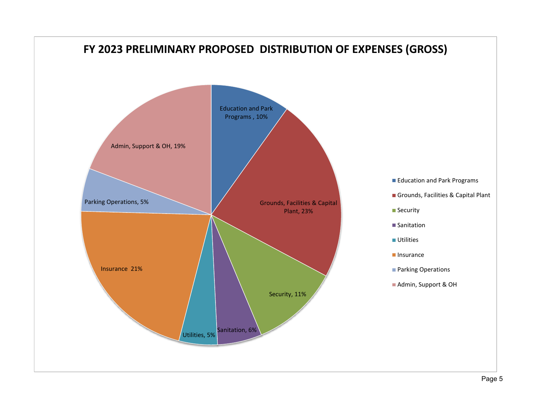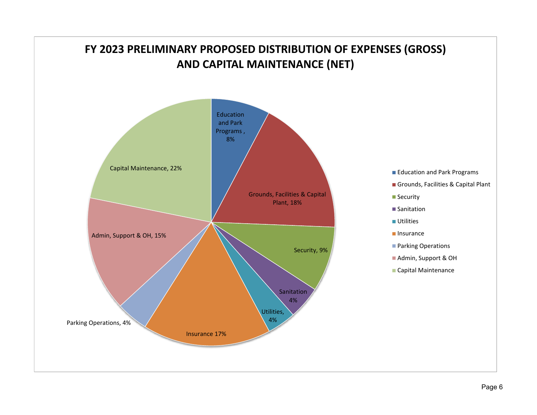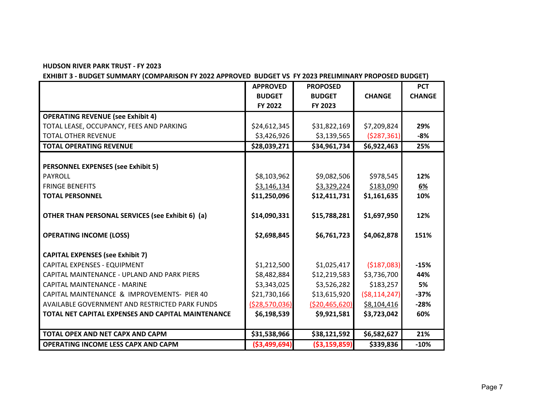**EXHIBIT 3 - BUDGET SUMMARY (COMPARISON FY 2022 APPROVED BUDGET VS FY 2023 PRELIMINARY PROPOSED BUDGET)**

|                                                    | <b>APPROVED</b> | <b>PROPOSED</b> |                | <b>PCT</b>    |
|----------------------------------------------------|-----------------|-----------------|----------------|---------------|
|                                                    | <b>BUDGET</b>   | <b>BUDGET</b>   | <b>CHANGE</b>  | <b>CHANGE</b> |
|                                                    | FY 2022         | FY 2023         |                |               |
| <b>OPERATING REVENUE (see Exhibit 4)</b>           |                 |                 |                |               |
| TOTAL LEASE, OCCUPANCY, FEES AND PARKING           | \$24,612,345    | \$31,822,169    | \$7,209,824    | 29%           |
| <b>TOTAL OTHER REVENUE</b>                         | \$3,426,926     | \$3,139,565     | (5287, 361)    | $-8%$         |
| <b>TOTAL OPERATING REVENUE</b>                     | \$28,039,271    | \$34,961,734    | \$6,922,463    | 25%           |
|                                                    |                 |                 |                |               |
| <b>PERSONNEL EXPENSES (see Exhibit 5)</b>          |                 |                 |                |               |
| <b>PAYROLL</b>                                     | \$8,103,962     | \$9,082,506     | \$978,545      | 12%           |
| <b>FRINGE BENEFITS</b>                             | \$3,146,134     | \$3,329,224     | \$183,090      | <u>6%</u>     |
| <b>TOTAL PERSONNEL</b>                             | \$11,250,096    | \$12,411,731    | \$1,161,635    | 10%           |
|                                                    |                 |                 |                |               |
| OTHER THAN PERSONAL SERVICES (see Exhibit 6) (a)   | \$14,090,331    | \$15,788,281    | \$1,697,950    | 12%           |
| <b>OPERATING INCOME (LOSS)</b>                     | \$2,698,845     | \$6,761,723     | \$4,062,878    | 151%          |
|                                                    |                 |                 |                |               |
| <b>CAPITAL EXPENSES (see Exhibit 7)</b>            |                 |                 |                |               |
| CAPITAL EXPENSES - EQUIPMENT                       | \$1,212,500     | \$1,025,417     | ( \$187,083)   | $-15%$        |
| CAPITAL MAINTENANCE - UPLAND AND PARK PIERS        | \$8,482,884     | \$12,219,583    | \$3,736,700    | 44%           |
| CAPITAL MAINTENANCE - MARINE                       | \$3,343,025     | \$3,526,282     | \$183,257      | 5%            |
| CAPITAL MAINTENANCE & IMPROVEMENTS- PIER 40        | \$21,730,166    | \$13,615,920    | ( \$8,114,247) | $-37%$        |
| AVAILABLE GOVERNMENT AND RESTRICTED PARK FUNDS     | ( \$28,570,036) | ( \$20,465,620) | \$8,104,416    | $-28%$        |
| TOTAL NET CAPITAL EXPENSES AND CAPITAL MAINTENANCE | \$6,198,539     | \$9,921,581     | \$3,723,042    | 60%           |
|                                                    |                 |                 |                |               |
| TOTAL OPEX AND NET CAPX AND CAPM                   | \$31,538,966    | \$38,121,592    | \$6,582,627    | 21%           |
| <b>OPERATING INCOME LESS CAPX AND CAPM</b>         | ( \$3,499,694)  | ( \$3,159,859)  | \$339,836      | $-10%$        |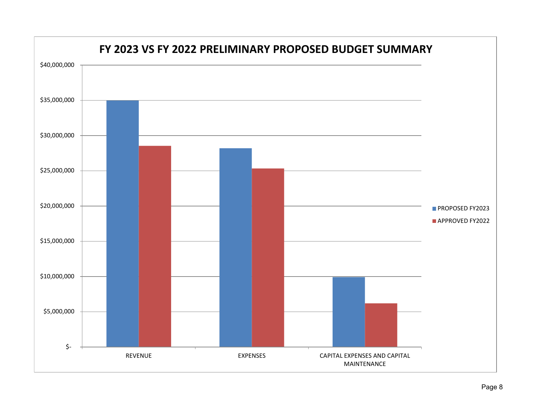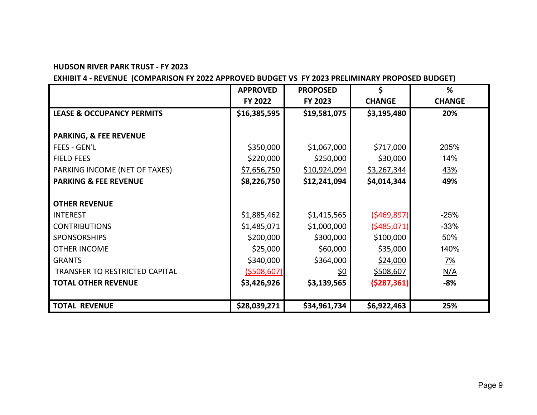### **EXHIBIT 4 - REVENUE (COMPARISON FY 2022 APPROVED BUDGET VS FY 2023 PRELIMINARY PROPOSED BUDGET)**

|                                      | <b>APPROVED</b>    | <b>PROPOSED</b> | \$            | %             |
|--------------------------------------|--------------------|-----------------|---------------|---------------|
|                                      | FY 2022            | FY 2023         | <b>CHANGE</b> | <b>CHANGE</b> |
| <b>LEASE &amp; OCCUPANCY PERMITS</b> | \$16,385,595       | \$19,581,075    | \$3,195,480   | 20%           |
|                                      |                    |                 |               |               |
| <b>PARKING, &amp; FEE REVENUE</b>    |                    |                 |               |               |
| <b>FEES - GEN'L</b>                  | \$350,000          | \$1,067,000     | \$717,000     | 205%          |
| <b>FIELD FEES</b>                    | \$220,000          | \$250,000       | \$30,000      | 14%           |
| PARKING INCOME (NET OF TAXES)        | \$7,656,750        | \$10,924,094    | \$3,267,344   | 43%           |
| <b>PARKING &amp; FEE REVENUE</b>     | \$8,226,750        | \$12,241,094    | \$4,014,344   | 49%           |
|                                      |                    |                 |               |               |
| <b>OTHER REVENUE</b>                 |                    |                 |               |               |
| <b>INTEREST</b>                      | \$1,885,462        | \$1,415,565     | (5469, 897)   | $-25%$        |
| <b>CONTRIBUTIONS</b>                 | \$1,485,071        | \$1,000,000     | (5485,071)    | $-33%$        |
| <b>SPONSORSHIPS</b>                  | \$200,000          | \$300,000       | \$100,000     | 50%           |
| <b>OTHER INCOME</b>                  | \$25,000           | \$60,000        | \$35,000      | 140%          |
| <b>GRANTS</b>                        | \$340,000          | \$364,000       | \$24,000      | <u>7%</u>     |
| TRANSFER TO RESTRICTED CAPITAL       | <u>(\$508,607)</u> | <u>\$0</u>      | \$508,607     | N/A           |
| <b>TOTAL OTHER REVENUE</b>           | \$3,426,926        | \$3,139,565     | (5287, 361)   | $-8%$         |
|                                      |                    |                 |               |               |
| <b>TOTAL REVENUE</b>                 | \$28,039,271       | \$34,961,734    | \$6,922,463   | 25%           |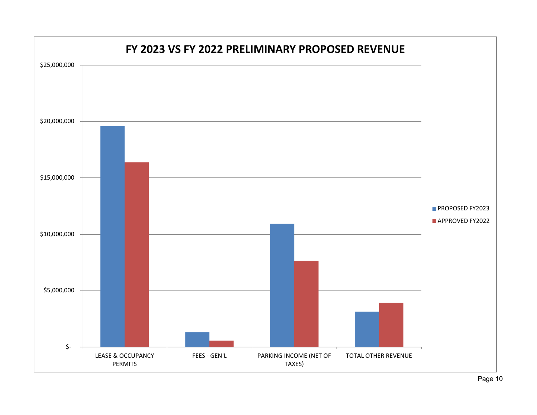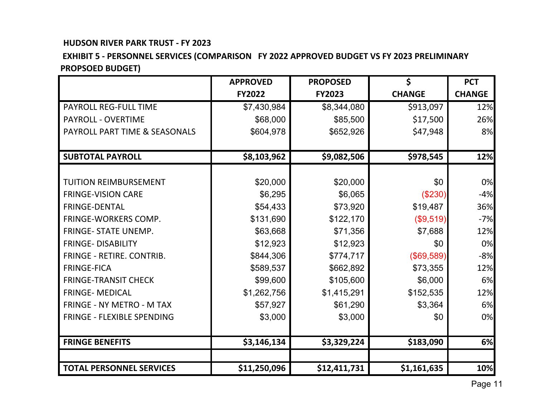## **EXHIBIT 5 - PERSONNEL SERVICES (COMPARISON FY 2022 APPROVED BUDGET VS FY 2023 PRELIMINARY PROPSOED BUDGET)**

|                                   | <b>APPROVED</b> | <b>PROPOSED</b> | \$            | <b>PCT</b>    |
|-----------------------------------|-----------------|-----------------|---------------|---------------|
|                                   | <b>FY2022</b>   | <b>FY2023</b>   | <b>CHANGE</b> | <b>CHANGE</b> |
| <b>PAYROLL REG-FULL TIME</b>      | \$7,430,984     | \$8,344,080     | \$913,097     | 12%           |
| <b>PAYROLL - OVERTIME</b>         | \$68,000        | \$85,500        | \$17,500      | 26%           |
| PAYROLL PART TIME & SEASONALS     | \$604,978       | \$652,926       | \$47,948      | 8%            |
|                                   |                 |                 |               |               |
| <b>SUBTOTAL PAYROLL</b>           | \$8,103,962     | \$9,082,506     | \$978,545     | 12%           |
|                                   |                 |                 |               |               |
| <b>TUITION REIMBURSEMENT</b>      | \$20,000        | \$20,000        | \$0           | 0%            |
| <b>FRINGE-VISION CARE</b>         | \$6,295         | \$6,065         | (\$230)       | $-4%$         |
| <b>FRINGE-DENTAL</b>              | \$54,433        | \$73,920        | \$19,487      | 36%           |
| <b>FRINGE-WORKERS COMP.</b>       | \$131,690       | \$122,170       | (\$9,519)     | $-7%$         |
| <b>FRINGE- STATE UNEMP.</b>       | \$63,668        | \$71,356        | \$7,688       | 12%           |
| <b>FRINGE- DISABILITY</b>         | \$12,923        | \$12,923        | \$0           | 0%            |
| FRINGE - RETIRE. CONTRIB.         | \$844,306       | \$774,717       | (\$69,589)    | $-8%$         |
| <b>FRINGE-FICA</b>                | \$589,537       | \$662,892       | \$73,355      | 12%           |
| <b>FRINGE-TRANSIT CHECK</b>       | \$99,600        | \$105,600       | \$6,000       | 6%            |
| <b>FRINGE- MEDICAL</b>            | \$1,262,756     | \$1,415,291     | \$152,535     | 12%           |
| <b>FRINGE - NY METRO - M TAX</b>  | \$57,927        | \$61,290        | \$3,364       | 6%            |
| <b>FRINGE - FLEXIBLE SPENDING</b> | \$3,000         | \$3,000         | \$0           | 0%            |
|                                   |                 |                 |               |               |
| <b>FRINGE BENEFITS</b>            | \$3,146,134     | \$3,329,224     | \$183,090     | 6%            |
|                                   |                 |                 |               |               |
| <b>TOTAL PERSONNEL SERVICES</b>   | \$11,250,096    | \$12,411,731    | \$1,161,635   | 10%           |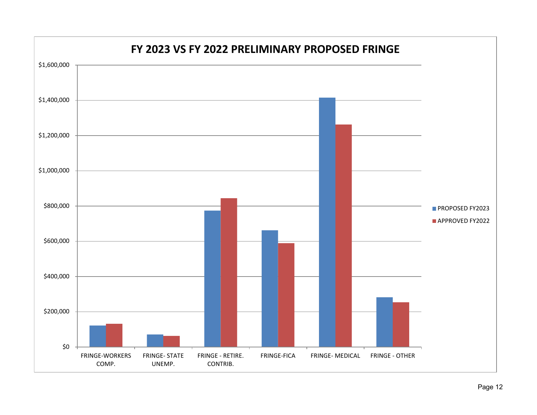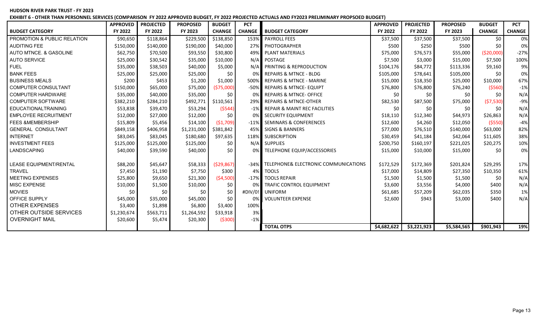**EXHIBIT 6 - OTHER THAN PERSONNEL SERVICES (COMPARISON FY 2022 APPROVED BUDGET, FY 2022 PROJECTED ACTUALS AND FY2023 PRELIMINARY PROPSOED BUDGET)**

|                               | <b>APPROVED</b>         | <b>PROJECTED</b>    | <b>PROPOSED</b>         | <b>BUDGET</b>       | <b>PCT</b>    |                                           | <b>APPROVED</b>       | <b>PROJECTED</b>      | <b>PROPOSED</b>       | <b>BUDGET</b>        | <b>PCT</b>    |
|-------------------------------|-------------------------|---------------------|-------------------------|---------------------|---------------|-------------------------------------------|-----------------------|-----------------------|-----------------------|----------------------|---------------|
| <b>BUDGET CATEGORY</b>        | FY 2022                 | FY 2022             | FY 2023                 | <b>CHANGE</b>       | <b>CHANGE</b> | <b>BUDGET CATEGORY</b>                    | FY 2022               | FY 2022               | FY 2023               | <b>CHANGE</b>        | <b>CHANGE</b> |
| PROMOTION & PUBLIC RELATION   | \$90,650                | \$118,864           | \$229,500               | \$138,850           | 153%          | <b>PAYROLL FEES</b>                       | \$37,500              | \$37,500              | \$37,500              | \$0                  | 0%            |
| <b>AUDITING FEE</b>           | \$150,000               | \$140,000           | \$190,000               | \$40,000            |               | 27% PHOTOGRAPHER                          | \$500                 | \$250                 | \$500                 | \$0                  | 0%            |
| AUTO MTNCE. & GASOLINE        | \$62,750                | \$70,500            | \$93,550                | \$30,800            |               | 49% PLANT MATERIALS                       | \$75,000              | \$76,573              | \$55,000              | ( \$20,000]          | $-27%$        |
| <b>AUTO SERVICE</b>           | \$25,000                | \$30,542            | \$35,000                | \$10,000            |               | N/A POSTAGE                               | \$7,500               | \$3,000               | \$15,000              | \$7,500              | 100%          |
| <b>FUEL</b>                   | \$35,000                | \$38,503            | \$40,000                | \$5,000             |               | N/A PRINTING & REPRODUCTION               | \$104,176             | \$84,772              | \$113,336             | \$9,160              | 9%            |
| <b>BANK FEES</b>              | \$25,000                | \$25,000            | \$25,000                | \$0                 |               | 0% REPAIRS & MTNCE - BLDG                 | \$105,000             | \$78,641              | \$105,000             | \$0                  | 0%            |
| <b>BUSINESS MEALS</b>         | \$200                   | \$453               | \$1,200                 | \$1,000             |               | 500% REPAIRS & MTNCE - MARINE             | \$15,000              | \$18,350              | \$25,000              | \$10,000             | 67%           |
| <b>COMPUTER CONSULTANT</b>    | \$150,000               | \$65,000            | \$75,000                | (\$75,000)          |               | -50% REPAIRS & MTNCE-EQUIPT               | \$76,800              | \$76,800              | \$76,240              | ( \$560)             | $-1%$         |
| <b>COMPUTER HARDWARE</b>      | \$35,000                | \$40,000            | \$35,000                | \$0                 | 0% I          | <b>REPAIRS &amp; MTNCE- OFFICE</b>        | \$0                   | \$0                   | SO.                   | \$0                  | N/A           |
| <b>COMPUTER SOFTWARE</b>      | \$382,210               | \$284,210           | \$492,771               | \$110,561           |               | 29% REPAIRS & MTNCE-OTHER                 | \$82,530              | \$87,500              | \$75,000              | (57,530)             | $-9%$         |
| <b>EDUCATIONALTRAINING</b>    | \$53,838                | \$39,470            | \$53,294                | (5544)              |               | -1% REPAIR & MAINT REC FACILITIES         | \$0                   | \$0                   | \$0                   | \$0                  | N/A           |
| <b>EMPLOYEE RECRUITMENT</b>   | \$12,000                | \$27,000            | \$12,000                | \$0                 | 0% l          | SECURITY EQUIPMENT                        | \$18,110              | \$12,340              | \$44,973              | \$26,863             | N/A           |
| <b>FEES &amp;MEMBERSHIP</b>   | \$15,809                | \$5,456             | \$14,100                | (51,709)            |               | -11% SEMINARS & CONFERENCES               | \$12,600              | \$4,260               | \$12,050              | (5550)               | $-4%$         |
| <b>GENERAL CONSULTANT</b>     | \$849,158               | \$406,958           | \$1,231,000             | \$381,842           |               | 45% SIGNS & BANNERS                       | \$77,000              | \$76,510              | \$140,000             | \$63,000             | 82%           |
| <b>INTERNET</b>               | \$83,045                | \$83,045            | \$180,680               | \$97,635            |               | 118% SUBSCRIPTION                         | \$30,459              | \$41,184              | \$42,064              | \$11,605             | 38%           |
| <b>INVESTMENT FEES</b>        | \$125,000               | \$125,000           | \$125,000               | \$0                 |               | N/A SUPPLIES                              | \$200,750             | \$160,197             | \$221,025             | \$20,275             | 10%           |
| LANDSCAPING                   | \$40,000                | \$39,590            | \$40,000                | \$0                 | 0%            | TELEPHONE EQUIP/ACCESSORIES               | \$15,000              | \$10,000              | \$15,000              | \$0                  | 0%            |
| <b>LEASE EQUIPMENT/RENTAL</b> |                         |                     |                         |                     |               | -34% TELEPHONE& ELECTRONIC COMMUNICATIONS |                       |                       |                       |                      |               |
| <b>TRAVEL</b>                 | \$88,200<br>\$7,450     | \$45,647<br>\$1,190 | \$58,333<br>\$7,750     | (529, 867)<br>\$300 | 4%            | <b>TOOLS</b>                              | \$172,529<br>\$17,000 | \$172,369<br>\$14,809 | \$201,824<br>\$27,350 | \$29,295<br>\$10,350 | 17%<br>61%    |
| <b>MEETING EXPENSES</b>       | \$25,800                | \$9,650             |                         |                     | $-17%$        | <b>TOOLS REPAIR</b>                       | \$1,500               |                       |                       | \$0                  | N/A           |
| <b>MISC EXPENSE</b>           |                         |                     | \$21,300                | (54,500)            | 0%            | <b>TRAFIC CONTROL EQUIPMENT</b>           | \$3,600               | \$1,500               | \$1,500<br>\$4,000    | \$400                | N/A           |
| <b>MOVIES</b>                 | \$10,000<br>\$0         | \$1,500<br>SO.      | \$10,000<br>\$0         | \$0<br>\$0          |               | #DIV/0! UNIFORM                           | \$61,685              | \$3,556<br>\$57,209   | \$62,035              | \$350                | 1%            |
| OFFICE SUPPLY                 | \$45,000                | \$35,000            | \$45,000                | \$0                 | 0%            | <b>VOLUNTEER EXPENSE</b>                  | \$2,600               | \$943                 | \$3,000               | \$400                | N/A           |
| <b>OTHER EXPENSES</b>         |                         | \$1,898             | \$6,800                 | \$3,400             | 100%          |                                           |                       |                       |                       |                      |               |
| OTHER OUTSIDE SERVICES        | \$3,400                 | \$563,711           |                         | \$33,918            | 3%            |                                           |                       |                       |                       |                      |               |
| <b>OVERNIGHT MAIL</b>         | \$1,230,674<br>\$20,600 | \$5,474             | \$1,264,592<br>\$20,300 | ( \$300)            | $-1%$         |                                           |                       |                       |                       |                      |               |
|                               |                         |                     |                         |                     |               | <b>TOTAL OTPS</b>                         | \$4,682,622           | \$3,221,923           | \$5,584,565           | \$901,943            | 19%           |
|                               |                         |                     |                         |                     |               |                                           |                       |                       |                       |                      |               |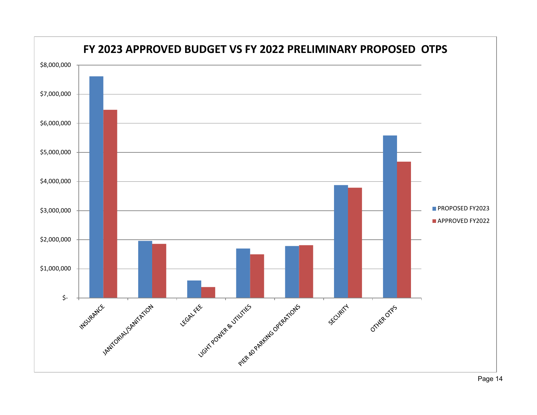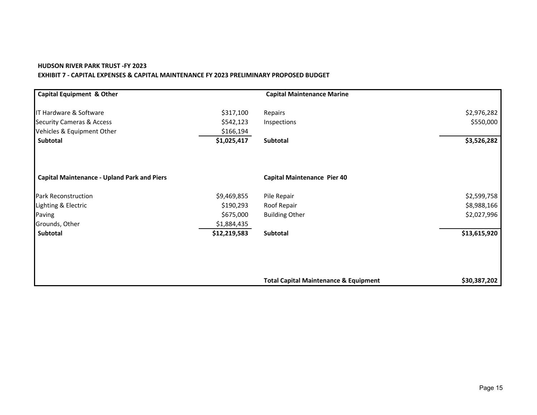#### **HUDSON RIVER PARK TRUST -FY 2023 EXHIBIT 7 - CAPITAL EXPENSES & CAPITAL MAINTENANCE FY 2023 PRELIMINARY PROPOSED BUDGET**

| <b>Capital Equipment &amp; Other</b>               |              | <b>Capital Maintenance Marine</b>                |              |
|----------------------------------------------------|--------------|--------------------------------------------------|--------------|
| IT Hardware & Software                             | \$317,100    | Repairs                                          | \$2,976,282  |
| <b>Security Cameras &amp; Access</b>               | \$542,123    | Inspections                                      | \$550,000    |
| Vehicles & Equipment Other                         | \$166,194    |                                                  |              |
| <b>Subtotal</b>                                    | \$1,025,417  | <b>Subtotal</b>                                  | \$3,526,282  |
| <b>Capital Maintenance - Upland Park and Piers</b> |              | <b>Capital Maintenance Pier 40</b>               |              |
| <b>Park Reconstruction</b>                         | \$9,469,855  | Pile Repair                                      | \$2,599,758  |
| Lighting & Electric                                | \$190,293    | Roof Repair                                      | \$8,988,166  |
| Paving                                             | \$675,000    | <b>Building Other</b>                            | \$2,027,996  |
| Grounds, Other                                     | \$1,884,435  |                                                  |              |
| Subtotal                                           | \$12,219,583 | Subtotal                                         | \$13,615,920 |
|                                                    |              |                                                  |              |
|                                                    |              |                                                  |              |
|                                                    |              | <b>Total Capital Maintenance &amp; Equipment</b> | \$30,387,202 |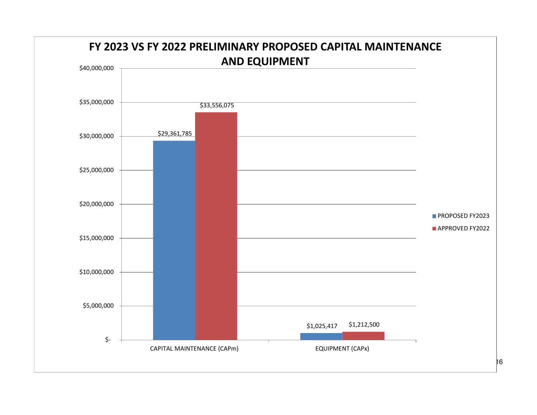